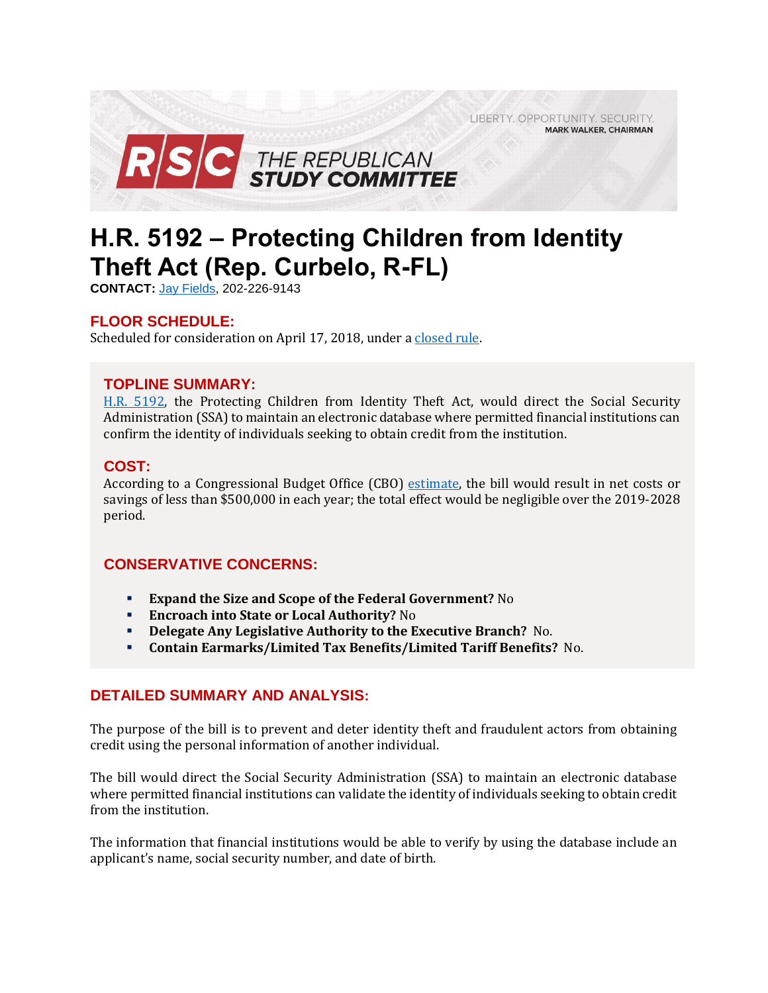LIBERTY. OPPORTUNITY. SECURITY. **MARK WALKER, CHAIRMAN** 



# **H.R. 5192 – Protecting Children from Identity Theft Act (Rep. Curbelo, R-FL)**

**CONTACT:** Jay [Fields,](mailto:jay.fields@mail.house.gov) 202-226-9143

## **FLOOR SCHEDULE:**

Scheduled for consideration on April 17, 2018, under a [closed rule.](https://rules.house.gov/bill/115/hr-5192)

## **TOPLINE SUMMARY:**

[H.R. 5192,](http://docs.house.gov/billsthisweek/20180416/BILLS-115HR5192-RCP115-68.pdf) the Protecting Children from Identity Theft Act, would direct the Social Security Administration (SSA) to maintain an electronic database where permitted financial institutions can confirm the identity of individuals seeking to obtain credit from the institution.

## **COST:**

According to a Congressional Budget Office (CBO) [estimate,](https://www.cbo.gov/system/files/115th-congress-2017-2018/costestimate/hr5192.pdf) the bill would result in net costs or savings of less than \$500,000 in each year; the total effect would be negligible over the 2019-2028 period.

## **CONSERVATIVE CONCERNS:**

- **Expand the Size and Scope of the Federal Government?** No
- **Encroach into State or Local Authority?** No
- **Delegate Any Legislative Authority to the Executive Branch?** No.
- **Contain Earmarks/Limited Tax Benefits/Limited Tariff Benefits?** No.

## **DETAILED SUMMARY AND ANALYSIS:**

The purpose of the bill is to prevent and deter identity theft and fraudulent actors from obtaining credit using the personal information of another individual.

The bill would direct the Social Security Administration (SSA) to maintain an electronic database where permitted financial institutions can validate the identity of individuals seeking to obtain credit from the institution.

The information that financial institutions would be able to verify by using the database include an applicant's name, social security number, and date of birth.